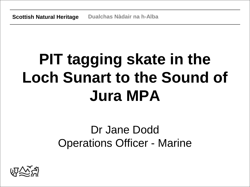# **PIT tagging skate in the Loch Sunart to the Sound of Jura MPA**

## Dr Jane Dodd Operations Officer - Marine

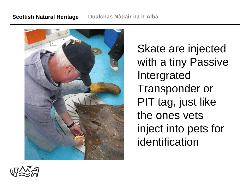

Skate are injected with a tiny Passive Intergrated Transponder or PIT tag, just like the ones vets inject into pets for identification

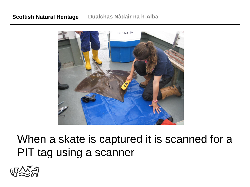

### When a skate is captured it is scanned for a PIT tag using a scanner

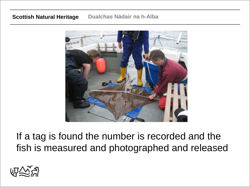

If a tag is found the number is recorded and the fish is measured and photographed and released

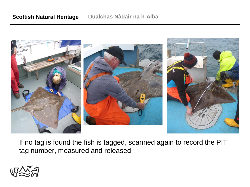

If no tag is found the fish is tagged, scanned again to record the PIT tag number, measured and released

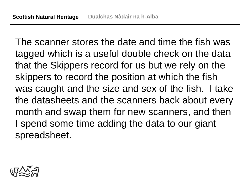The scanner stores the date and time the fish was tagged which is a useful double check on the data that the Skippers record for us but we rely on the skippers to record the position at which the fish was caught and the size and sex of the fish. I take the datasheets and the scanners back about every month and swap them for new scanners, and then I spend some time adding the data to our giant spreadsheet.